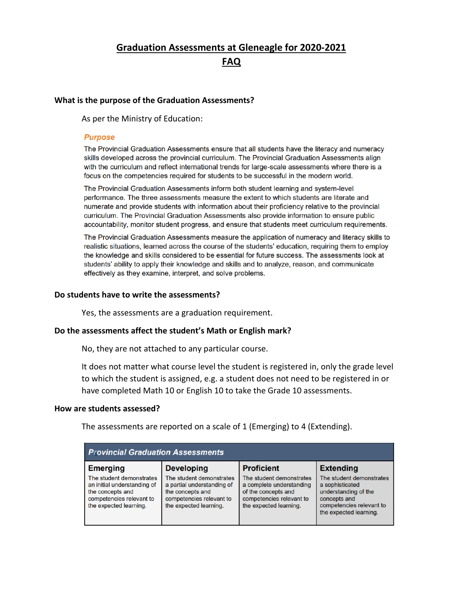# **Graduation Assessments at Gleneagle for 2020-2021 FAQ**

#### **What is the purpose of the Graduation Assessments?**

As per the Ministry of Education:

#### **Purpose**

The Provincial Graduation Assessments ensure that all students have the literacy and numeracy skills developed across the provincial curriculum. The Provincial Graduation Assessments align with the curriculum and reflect international trends for large-scale assessments where there is a focus on the competencies required for students to be successful in the modern world.

The Provincial Graduation Assessments inform both student learning and system-level performance. The three assessments measure the extent to which students are literate and numerate and provide students with information about their proficiency relative to the provincial curriculum. The Provincial Graduation Assessments also provide information to ensure public accountability, monitor student progress, and ensure that students meet curriculum requirements.

The Provincial Graduation Assessments measure the application of numeracy and literacy skills to realistic situations, learned across the course of the students' education, requiring them to employ the knowledge and skills considered to be essential for future success. The assessments look at students' ability to apply their knowledge and skills and to analyze, reason, and communicate effectively as they examine, interpret, and solve problems.

#### **Do students have to write the assessments?**

Yes, the assessments are a graduation requirement.

#### **Do the assessments affect the student's Math or English mark?**

No, they are not attached to any particular course.

It does not matter what course level the student is registered in, only the grade level to which the student is assigned, e.g. a student does not need to be registered in or have completed Math 10 or English 10 to take the Grade 10 assessments.

#### **How are students assessed?**

The assessments are reported on a scale of 1 (Emerging) to 4 (Extending).

| <b>Provincial Graduation Assessments</b>                                                                                          |                                                                                                                                  |                                                                                                                                   |                                                                                                                                           |
|-----------------------------------------------------------------------------------------------------------------------------------|----------------------------------------------------------------------------------------------------------------------------------|-----------------------------------------------------------------------------------------------------------------------------------|-------------------------------------------------------------------------------------------------------------------------------------------|
| <b>Emerging</b>                                                                                                                   | <b>Developing</b>                                                                                                                | <b>Proficient</b>                                                                                                                 | <b>Extending</b>                                                                                                                          |
| The student demonstrates<br>an initial understanding of<br>the concepts and<br>competencies relevant to<br>the expected learning. | The student demonstrates<br>a partial understanding of<br>the concepts and<br>competencies relevant to<br>the expected learning. | The student demonstrates<br>a complete understanding<br>of the concepts and<br>competencies relevant to<br>the expected learning. | The student demonstrates<br>a sophisticated<br>understanding of the<br>concepts and<br>competencies relevant to<br>the expected learning. |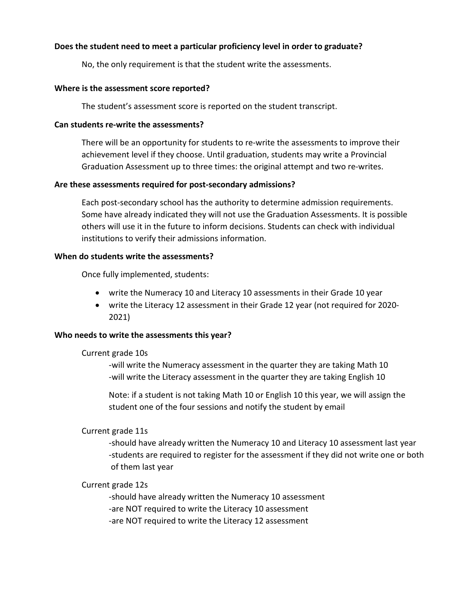## **Does the student need to meet a particular proficiency level in order to graduate?**

No, the only requirement is that the student write the assessments.

#### **Where is the assessment score reported?**

The student's assessment score is reported on the student transcript.

## **Can students re-write the assessments?**

There will be an opportunity for students to re-write the assessments to improve their achievement level if they choose. Until graduation, students may write a Provincial Graduation Assessment up to three times: the original attempt and two re-writes.

## **Are these assessments required for post-secondary admissions?**

Each post-secondary school has the authority to determine admission requirements. Some have already indicated they will not use the Graduation Assessments. It is possible others will use it in the future to inform decisions. Students can check with individual institutions to verify their admissions information.

#### **When do students write the assessments?**

Once fully implemented, students:

- write the Numeracy 10 and Literacy 10 assessments in their Grade 10 year
- write the Literacy 12 assessment in their Grade 12 year (not required for 2020- 2021)

## **Who needs to write the assessments this year?**

#### Current grade 10s

-will write the Numeracy assessment in the quarter they are taking Math 10 -will write the Literacy assessment in the quarter they are taking English 10

Note: if a student is not taking Math 10 or English 10 this year, we will assign the student one of the four sessions and notify the student by email

## Current grade 11s

-should have already written the Numeracy 10 and Literacy 10 assessment last year -students are required to register for the assessment if they did not write one or both of them last year

## Current grade 12s

-should have already written the Numeracy 10 assessment

- -are NOT required to write the Literacy 10 assessment
- -are NOT required to write the Literacy 12 assessment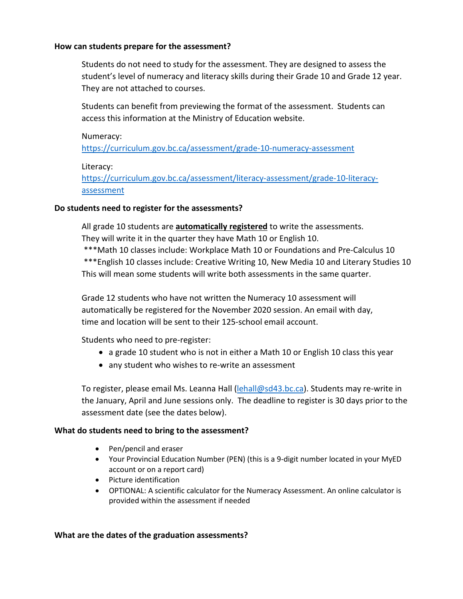#### **How can students prepare for the assessment?**

Students do not need to study for the assessment. They are designed to assess the student's level of numeracy and literacy skills during their Grade 10 and Grade 12 year. They are not attached to courses.

Students can benefit from previewing the format of the assessment. Students can access this information at the Ministry of Education website.

# Numeracy:

<https://curriculum.gov.bc.ca/assessment/grade-10-numeracy-assessment>

# Literacy:

[https://curriculum.gov.bc.ca/assessment/literacy-assessment/grade-10-literacy](https://curriculum.gov.bc.ca/assessment/literacy-assessment/grade-10-literacy-%20assessment)[assessment](https://curriculum.gov.bc.ca/assessment/literacy-assessment/grade-10-literacy-%20assessment)

# **Do students need to register for the assessments?**

All grade 10 students are **automatically registered** to write the assessments. They will write it in the quarter they have Math 10 or English 10.

 \*\*\*Math 10 classes include: Workplace Math 10 or Foundations and Pre-Calculus 10 \*\*\*English 10 classes include: Creative Writing 10, New Media 10 and Literary Studies 10 This will mean some students will write both assessments in the same quarter.

Grade 12 students who have not written the Numeracy 10 assessment will automatically be registered for the November 2020 session. An email with day, time and location will be sent to their 125-school email account.

Students who need to pre-register:

- a grade 10 student who is not in either a Math 10 or English 10 class this year
- any student who wishes to re-write an assessment

To register, please email Ms. Leanna Hall [\(lehall@sd43.bc.ca\)](mailto:lehall@sd43.bc.ca). Students may re-write in the January, April and June sessions only. The deadline to register is 30 days prior to the assessment date (see the dates below).

## **What do students need to bring to the assessment?**

- Pen/pencil and eraser
- Your Provincial Education Number (PEN) (this is a 9-digit number located in your MyED account or on a report card)
- Picture identification
- OPTIONAL: A scientific calculator for the Numeracy Assessment. An online calculator is provided within the assessment if needed

## **What are the dates of the graduation assessments?**